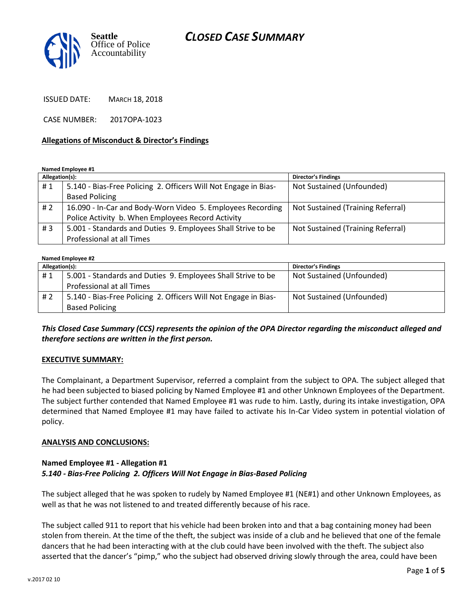

ISSUED DATE: MARCH 18, 2018

CASE NUMBER: 2017OPA-1023

#### **Allegations of Misconduct & Director's Findings**

**Named Employee #1**

| Allegation(s): |                                                                 | <b>Director's Findings</b>        |
|----------------|-----------------------------------------------------------------|-----------------------------------|
| #1             | 5.140 - Bias-Free Policing 2. Officers Will Not Engage in Bias- | Not Sustained (Unfounded)         |
|                | <b>Based Policing</b>                                           |                                   |
| #2             | 16.090 - In-Car and Body-Worn Video 5. Employees Recording      | Not Sustained (Training Referral) |
|                | Police Activity b. When Employees Record Activity               |                                   |
| #3             | 5.001 - Standards and Duties 9. Employees Shall Strive to be    | Not Sustained (Training Referral) |
|                | Professional at all Times                                       |                                   |

#### **Named Employee #2**

| Allegation(s): |                                                                 | <b>Director's Findings</b> |  |
|----------------|-----------------------------------------------------------------|----------------------------|--|
| #1             | 5.001 - Standards and Duties 9. Employees Shall Strive to be    | Not Sustained (Unfounded)  |  |
|                | Professional at all Times                                       |                            |  |
| #2             | 5.140 - Bias-Free Policing 2. Officers Will Not Engage in Bias- | Not Sustained (Unfounded)  |  |
|                | <b>Based Policing</b>                                           |                            |  |

### *This Closed Case Summary (CCS) represents the opinion of the OPA Director regarding the misconduct alleged and therefore sections are written in the first person.*

#### **EXECUTIVE SUMMARY:**

The Complainant, a Department Supervisor, referred a complaint from the subject to OPA. The subject alleged that he had been subjected to biased policing by Named Employee #1 and other Unknown Employees of the Department. The subject further contended that Named Employee #1 was rude to him. Lastly, during its intake investigation, OPA determined that Named Employee #1 may have failed to activate his In-Car Video system in potential violation of policy.

#### **ANALYSIS AND CONCLUSIONS:**

### **Named Employee #1 - Allegation #1** *5.140 - Bias-Free Policing 2. Officers Will Not Engage in Bias-Based Policing*

The subject alleged that he was spoken to rudely by Named Employee #1 (NE#1) and other Unknown Employees, as well as that he was not listened to and treated differently because of his race.

The subject called 911 to report that his vehicle had been broken into and that a bag containing money had been stolen from therein. At the time of the theft, the subject was inside of a club and he believed that one of the female dancers that he had been interacting with at the club could have been involved with the theft. The subject also asserted that the dancer's "pimp," who the subject had observed driving slowly through the area, could have been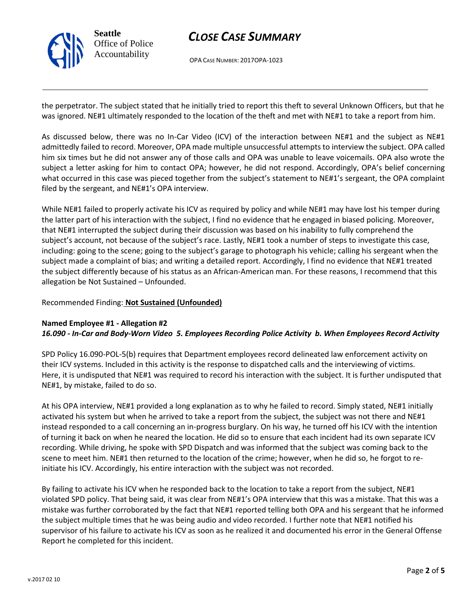

OPA CASE NUMBER: 2017OPA-1023

the perpetrator. The subject stated that he initially tried to report this theft to several Unknown Officers, but that he was ignored. NE#1 ultimately responded to the location of the theft and met with NE#1 to take a report from him.

As discussed below, there was no In-Car Video (ICV) of the interaction between NE#1 and the subject as NE#1 admittedly failed to record. Moreover, OPA made multiple unsuccessful attempts to interview the subject. OPA called him six times but he did not answer any of those calls and OPA was unable to leave voicemails. OPA also wrote the subject a letter asking for him to contact OPA; however, he did not respond. Accordingly, OPA's belief concerning what occurred in this case was pieced together from the subject's statement to NE#1's sergeant, the OPA complaint filed by the sergeant, and NE#1's OPA interview.

While NE#1 failed to properly activate his ICV as required by policy and while NE#1 may have lost his temper during the latter part of his interaction with the subject, I find no evidence that he engaged in biased policing. Moreover, that NE#1 interrupted the subject during their discussion was based on his inability to fully comprehend the subject's account, not because of the subject's race. Lastly, NE#1 took a number of steps to investigate this case, including: going to the scene; going to the subject's garage to photograph his vehicle; calling his sergeant when the subject made a complaint of bias; and writing a detailed report. Accordingly, I find no evidence that NE#1 treated the subject differently because of his status as an African-American man. For these reasons, I recommend that this allegation be Not Sustained – Unfounded.

#### Recommended Finding: **Not Sustained (Unfounded)**

### **Named Employee #1 - Allegation #2** *16.090 - In-Car and Body-Worn Video 5. Employees Recording Police Activity b. When Employees Record Activity*

SPD Policy 16.090-POL-5(b) requires that Department employees record delineated law enforcement activity on their ICV systems. Included in this activity is the response to dispatched calls and the interviewing of victims. Here, it is undisputed that NE#1 was required to record his interaction with the subject. It is further undisputed that NE#1, by mistake, failed to do so.

At his OPA interview, NE#1 provided a long explanation as to why he failed to record. Simply stated, NE#1 initially activated his system but when he arrived to take a report from the subject, the subject was not there and NE#1 instead responded to a call concerning an in-progress burglary. On his way, he turned off his ICV with the intention of turning it back on when he neared the location. He did so to ensure that each incident had its own separate ICV recording. While driving, he spoke with SPD Dispatch and was informed that the subject was coming back to the scene to meet him. NE#1 then returned to the location of the crime; however, when he did so, he forgot to reinitiate his ICV. Accordingly, his entire interaction with the subject was not recorded.

By failing to activate his ICV when he responded back to the location to take a report from the subject, NE#1 violated SPD policy. That being said, it was clear from NE#1's OPA interview that this was a mistake. That this was a mistake was further corroborated by the fact that NE#1 reported telling both OPA and his sergeant that he informed the subject multiple times that he was being audio and video recorded. I further note that NE#1 notified his supervisor of his failure to activate his ICV as soon as he realized it and documented his error in the General Offense Report he completed for this incident.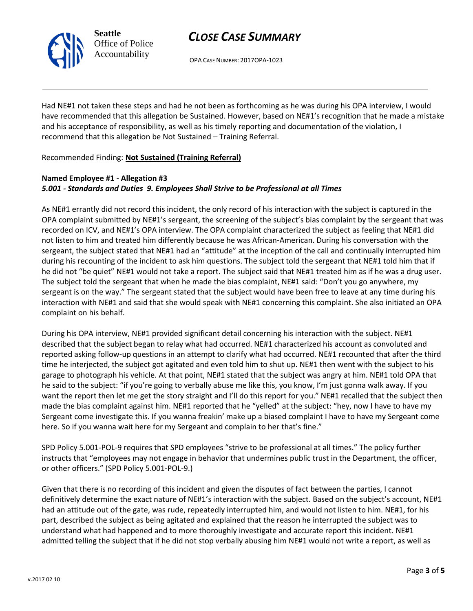

OPA CASE NUMBER: 2017OPA-1023

Had NE#1 not taken these steps and had he not been as forthcoming as he was during his OPA interview, I would have recommended that this allegation be Sustained. However, based on NE#1's recognition that he made a mistake and his acceptance of responsibility, as well as his timely reporting and documentation of the violation, I recommend that this allegation be Not Sustained – Training Referral.

Recommended Finding: **Not Sustained (Training Referral)**

### **Named Employee #1 - Allegation #3** *5.001 - Standards and Duties 9. Employees Shall Strive to be Professional at all Times*

As NE#1 errantly did not record this incident, the only record of his interaction with the subject is captured in the OPA complaint submitted by NE#1's sergeant, the screening of the subject's bias complaint by the sergeant that was recorded on ICV, and NE#1's OPA interview. The OPA complaint characterized the subject as feeling that NE#1 did not listen to him and treated him differently because he was African-American. During his conversation with the sergeant, the subject stated that NE#1 had an "attitude" at the inception of the call and continually interrupted him during his recounting of the incident to ask him questions. The subject told the sergeant that NE#1 told him that if he did not "be quiet" NE#1 would not take a report. The subject said that NE#1 treated him as if he was a drug user. The subject told the sergeant that when he made the bias complaint, NE#1 said: "Don't you go anywhere, my sergeant is on the way." The sergeant stated that the subject would have been free to leave at any time during his interaction with NE#1 and said that she would speak with NE#1 concerning this complaint. She also initiated an OPA complaint on his behalf.

During his OPA interview, NE#1 provided significant detail concerning his interaction with the subject. NE#1 described that the subject began to relay what had occurred. NE#1 characterized his account as convoluted and reported asking follow-up questions in an attempt to clarify what had occurred. NE#1 recounted that after the third time he interjected, the subject got agitated and even told him to shut up. NE#1 then went with the subject to his garage to photograph his vehicle. At that point, NE#1 stated that the subject was angry at him. NE#1 told OPA that he said to the subject: "if you're going to verbally abuse me like this, you know, I'm just gonna walk away. If you want the report then let me get the story straight and I'll do this report for you." NE#1 recalled that the subject then made the bias complaint against him. NE#1 reported that he "yelled" at the subject: "hey, now I have to have my Sergeant come investigate this. If you wanna freakin' make up a biased complaint I have to have my Sergeant come here. So if you wanna wait here for my Sergeant and complain to her that's fine."

SPD Policy 5.001-POL-9 requires that SPD employees "strive to be professional at all times." The policy further instructs that "employees may not engage in behavior that undermines public trust in the Department, the officer, or other officers." (SPD Policy 5.001-POL-9.)

Given that there is no recording of this incident and given the disputes of fact between the parties, I cannot definitively determine the exact nature of NE#1's interaction with the subject. Based on the subject's account, NE#1 had an attitude out of the gate, was rude, repeatedly interrupted him, and would not listen to him. NE#1, for his part, described the subject as being agitated and explained that the reason he interrupted the subject was to understand what had happened and to more thoroughly investigate and accurate report this incident. NE#1 admitted telling the subject that if he did not stop verbally abusing him NE#1 would not write a report, as well as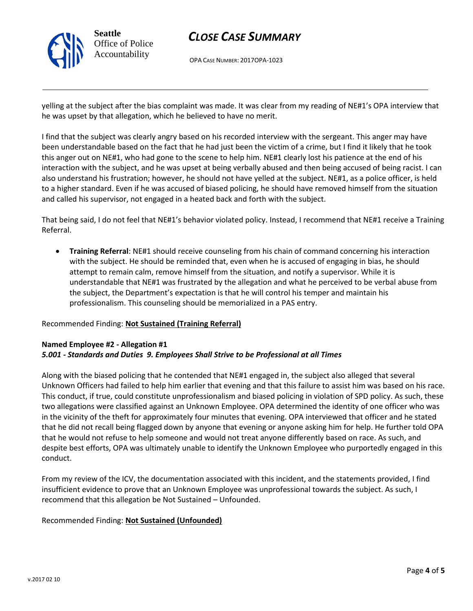

OPA CASE NUMBER: 2017OPA-1023

yelling at the subject after the bias complaint was made. It was clear from my reading of NE#1's OPA interview that he was upset by that allegation, which he believed to have no merit.

I find that the subject was clearly angry based on his recorded interview with the sergeant. This anger may have been understandable based on the fact that he had just been the victim of a crime, but I find it likely that he took this anger out on NE#1, who had gone to the scene to help him. NE#1 clearly lost his patience at the end of his interaction with the subject, and he was upset at being verbally abused and then being accused of being racist. I can also understand his frustration; however, he should not have yelled at the subject. NE#1, as a police officer, is held to a higher standard. Even if he was accused of biased policing, he should have removed himself from the situation and called his supervisor, not engaged in a heated back and forth with the subject.

That being said, I do not feel that NE#1's behavior violated policy. Instead, I recommend that NE#1 receive a Training Referral.

• **Training Referral**: NE#1 should receive counseling from his chain of command concerning his interaction with the subject. He should be reminded that, even when he is accused of engaging in bias, he should attempt to remain calm, remove himself from the situation, and notify a supervisor. While it is understandable that NE#1 was frustrated by the allegation and what he perceived to be verbal abuse from the subject, the Department's expectation is that he will control his temper and maintain his professionalism. This counseling should be memorialized in a PAS entry.

#### Recommended Finding: **Not Sustained (Training Referral)**

#### **Named Employee #2 - Allegation #1** *5.001 - Standards and Duties 9. Employees Shall Strive to be Professional at all Times*

Along with the biased policing that he contended that NE#1 engaged in, the subject also alleged that several Unknown Officers had failed to help him earlier that evening and that this failure to assist him was based on his race. This conduct, if true, could constitute unprofessionalism and biased policing in violation of SPD policy. As such, these two allegations were classified against an Unknown Employee. OPA determined the identity of one officer who was in the vicinity of the theft for approximately four minutes that evening. OPA interviewed that officer and he stated that he did not recall being flagged down by anyone that evening or anyone asking him for help. He further told OPA that he would not refuse to help someone and would not treat anyone differently based on race. As such, and despite best efforts, OPA was ultimately unable to identify the Unknown Employee who purportedly engaged in this conduct.

From my review of the ICV, the documentation associated with this incident, and the statements provided, I find insufficient evidence to prove that an Unknown Employee was unprofessional towards the subject. As such, I recommend that this allegation be Not Sustained – Unfounded.

#### Recommended Finding: **Not Sustained (Unfounded)**